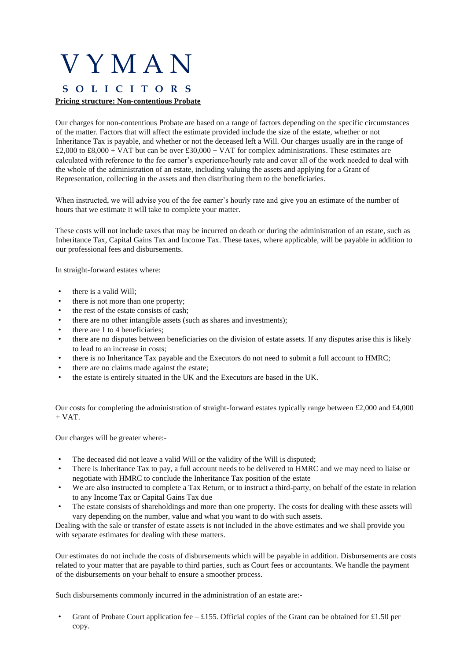## V Y M A N **S O L I C I T O R S Pricing structure: Non-contentious Probate**

Our charges for non-contentious Probate are based on a range of factors depending on the specific circumstances of the matter. Factors that will affect the estimate provided include the size of the estate, whether or not Inheritance Tax is payable, and whether or not the deceased left a Will. Our charges usually are in the range of £2,000 to £8,000 + VAT but can be over £30,000 + VAT for complex administrations. These estimates are calculated with reference to the fee earner's experience/hourly rate and cover all of the work needed to deal with the whole of the administration of an estate, including valuing the assets and applying for a Grant of Representation, collecting in the assets and then distributing them to the beneficiaries.

When instructed, we will advise you of the fee earner's hourly rate and give you an estimate of the number of hours that we estimate it will take to complete your matter.

These costs will not include taxes that may be incurred on death or during the administration of an estate, such as Inheritance Tax, Capital Gains Tax and Income Tax. These taxes, where applicable, will be payable in addition to our professional fees and disbursements.

In straight-forward estates where:

- there is a valid Will:
- there is not more than one property;
- the rest of the estate consists of cash;
- there are no other intangible assets (such as shares and investments);
- there are 1 to 4 beneficiaries;
- there are no disputes between beneficiaries on the division of estate assets. If any disputes arise this is likely to lead to an increase in costs;
- there is no Inheritance Tax payable and the Executors do not need to submit a full account to HMRC;
- there are no claims made against the estate;
- the estate is entirely situated in the UK and the Executors are based in the UK.

Our costs for completing the administration of straight-forward estates typically range between £2,000 and £4,000  $+$  VAT.

Our charges will be greater where:-

- The deceased did not leave a valid Will or the validity of the Will is disputed;
- There is Inheritance Tax to pay, a full account needs to be delivered to HMRC and we may need to liaise or negotiate with HMRC to conclude the Inheritance Tax position of the estate
- We are also instructed to complete a Tax Return, or to instruct a third-party, on behalf of the estate in relation to any Income Tax or Capital Gains Tax due
- The estate consists of shareholdings and more than one property. The costs for dealing with these assets will vary depending on the number, value and what you want to do with such assets.

Dealing with the sale or transfer of estate assets is not included in the above estimates and we shall provide you with separate estimates for dealing with these matters.

Our estimates do not include the costs of disbursements which will be payable in addition. Disbursements are costs related to your matter that are payable to third parties, such as Court fees or accountants. We handle the payment of the disbursements on your behalf to ensure a smoother process.

Such disbursements commonly incurred in the administration of an estate are:-

Grant of Probate Court application fee – £155. Official copies of the Grant can be obtained for £1.50 per copy.